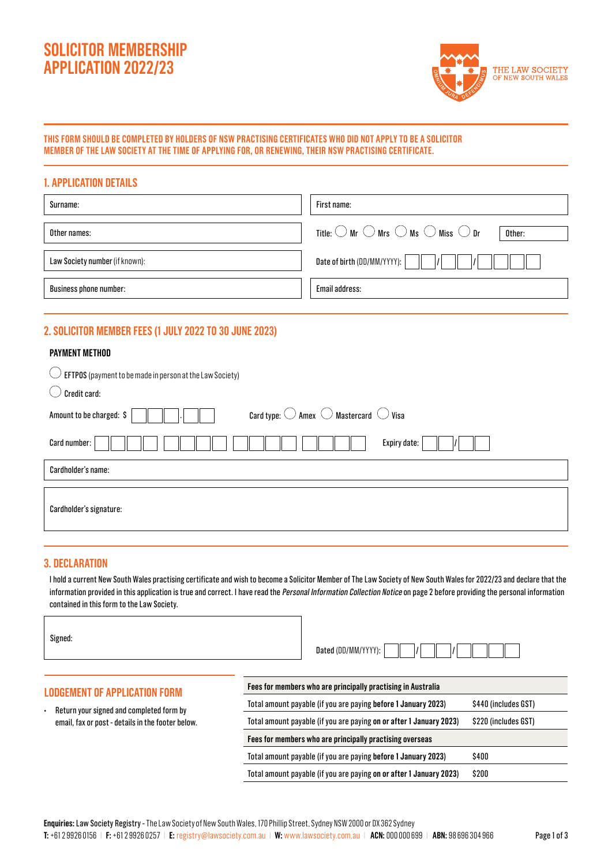# **SOLICITOR MEMBERSHIP APPLICATION 2022/23**



## **THIS FORM SHOULD BE COMPLETED BY HOLDERS OF NSW PRACTISING CERTIFICATES WHO DID NOT APPLY TO BE A SOLICITOR MEMBER OF THE LAW SOCIETY AT THE TIME OF APPLYING FOR, OR RENEWING, THEIR NSW PRACTISING CERTIFICATE.**

| <b>1. APPLICATION DETAILS</b>  |                                                                                           |
|--------------------------------|-------------------------------------------------------------------------------------------|
| Surname:                       | First name:                                                                               |
| Other names:                   | Title: $\bigcirc$ Mr $\bigcirc$ Mrs $\bigcirc$ Ms $\bigcirc$ Miss $\bigcirc$ Dr<br>Other: |
| Law Society number (if known): | Date of birth (DD/MM/YYYY):<br>$\vert$                                                    |
| <b>Business phone number:</b>  | Email address:                                                                            |

# **2. SOLICITOR MEMBER FEES (1 JULY 2022 TO 30 JUNE 2023)**

## **PAYMENT METHOD**

| EFTPOS (payment to be made in person at the Law Society)                                     |
|----------------------------------------------------------------------------------------------|
| Credit card:                                                                                 |
| Card type: $\bigcirc$ Amex $\bigcirc$ Mastercard $\bigcirc$ Visa<br>Amount to be charged: \$ |
| Expiry date:<br>Card number:                                                                 |
| Cardholder's name:                                                                           |
|                                                                                              |
| Cardholder's signature:                                                                      |
|                                                                                              |

# **3. DECLARATION**

 $\overline{1}$ 

I hold a current New South Wales practising certificate and wish to become a Solicitor Member of The Law Society of New South Wales for 2022/23 and declare that the information provided in this application is true and correct. I have read the Personal Information Collection Notice on page 2 before providing the personal information contained in this form to the Law Society.

| Signed:                                                                                                                               | Dated (DD/MM/YYYY):                                                                         |
|---------------------------------------------------------------------------------------------------------------------------------------|---------------------------------------------------------------------------------------------|
| <b>LODGEMENT OF APPLICATION FORM</b><br>Return your signed and completed form by<br>email, fax or post - details in the footer below. | Fees for members who are principally practising in Australia                                |
|                                                                                                                                       | Total amount payable (if you are paying before 1 January 2023)<br>\$440 (includes GST)      |
|                                                                                                                                       | Total amount payable (if you are paying on or after 1 January 2023)<br>\$220 (includes GST) |
|                                                                                                                                       | Fees for members who are principally practising overseas                                    |
|                                                                                                                                       | \$400<br>Total amount payable (if you are paying before 1 January 2023)                     |
|                                                                                                                                       | \$200<br>Total amount payable (if you are paying on or after 1 January 2023)                |

**T:** +61 2 9926 0156 | **F:** +61 2 9926 0257 | **E:** registry@lawsociety.com.au | **W:** www.lawsociety.com.au | **ACN:** 000 000 699 | **ABN:** 98 696 304 966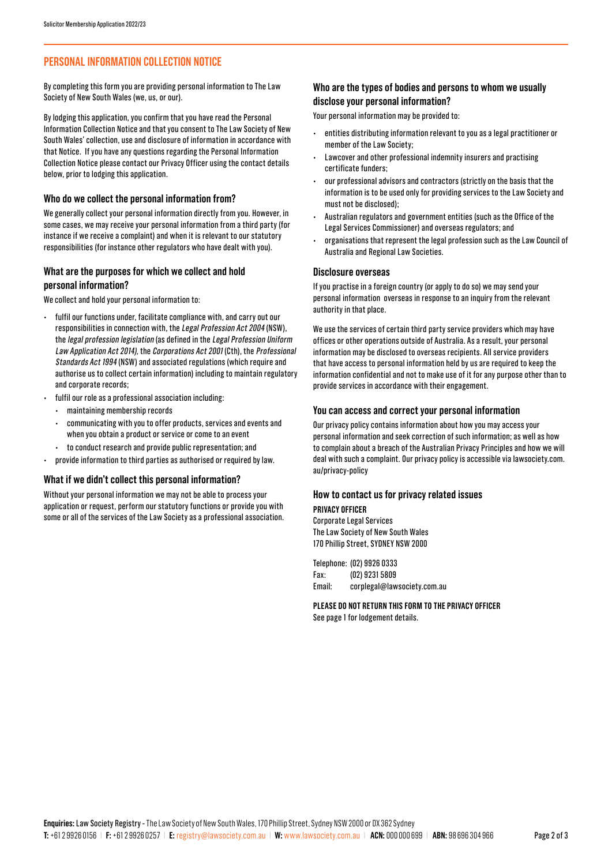# **PERSONAL INFORMATION COLLECTION NOTICE**

By completing this form you are providing personal information to The Law Society of New South Wales (we, us, or our).

By lodging this application, you confirm that you have read the Personal Information Collection Notice and that you consent to The Law Society of New South Wales' collection, use and disclosure of information in accordance with that Notice. If you have any questions regarding the Personal Information Collection Notice please contact our Privacy Officer using the contact details below, prior to lodging this application.

#### **Who do we collect the personal information from?**

We generally collect your personal information directly from you. However, in some cases, we may receive your personal information from a third party (for instance if we receive a complaint) and when it is relevant to our statutory responsibilities (for instance other regulators who have dealt with you).

## **What are the purposes for which we collect and hold personal information?**

We collect and hold your personal information to:

- fulfil our functions under, facilitate compliance with, and carry out our responsibilities in connection with, the Legal Profession Act 2004 (NSW), the legal profession legislation (as defined in the Legal Profession Uniform Law Application Act 2014), the Corporations Act 2001 (Cth), the Professional Standards Act 1994 (NSW) and associated regulations (which require and authorise us to collect certain information) including to maintain regulatory and corporate records;
- fulfil our role as a professional association including:
	- maintaining membership records
- communicating with you to offer products, services and events and when you obtain a product or service or come to an event
	- to conduct research and provide public representation; and
- provide information to third parties as authorised or required by law.

#### **What if we didn't collect this personal information?**

Without your personal information we may not be able to process your application or request, perform our statutory functions or provide you with some or all of the services of the Law Society as a professional association.

## **Who are the types of bodies and persons to whom we usually disclose your personal information?**

Your personal information may be provided to:

- entities distributing information relevant to you as a legal practitioner or member of the Law Society;
- Lawcover and other professional indemnity insurers and practising certificate funders;
- our professional advisors and contractors (strictly on the basis that the information is to be used only for providing services to the Law Society and must not be disclosed);
- Australian regulators and government entities (such as the Office of the Legal Services Commissioner) and overseas regulators; and
- organisations that represent the legal profession such as the Law Council of Australia and Regional Law Societies.

#### **Disclosure overseas**

If you practise in a foreign country (or apply to do so) we may send your personal information overseas in response to an inquiry from the relevant authority in that place.

We use the services of certain third party service providers which may have offices or other operations outside of Australia. As a result, your personal information may be disclosed to overseas recipients. All service providers that have access to personal information held by us are required to keep the information confidential and not to make use of it for any purpose other than to provide services in accordance with their engagement.

#### **You can access and correct your personal information**

Our privacy policy contains information about how you may access your personal information and seek correction of such information; as well as how to complain about a breach of the Australian Privacy Principles and how we will deal with such a complaint. Our privacy policy is accessible via lawsociety.com. au/privacy-policy

#### **How to contact us for privacy related issues**

#### **PRIVACY OFFICER**

Corporate Legal Services The Law Society of New South Wales 170 Phillip Street, SYDNEY NSW 2000

Telephone: (02) 9926 0333 Fax: (02) 9231 5809 Email: corplegal@lawsociety.com.au

**PLEASE DO NOT RETURN THIS FORM TO THE PRIVACY OFFICER**  See page 1 for lodgement details.